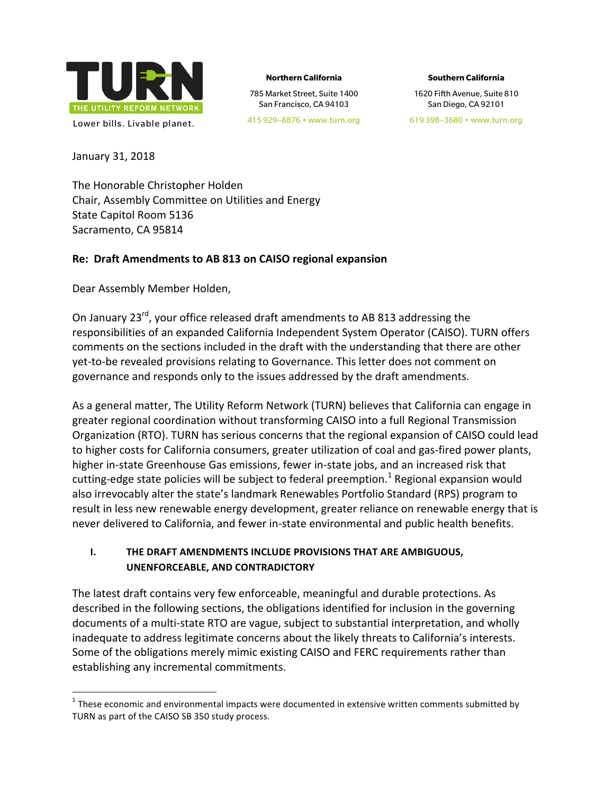

**Northern California**

785 Market Street, Suite 1400 San Francisco, CA 94103

**Southern California**

1620 Fifth Avenue, Suite 810 San Diego, CA 92101

619 398–3680 • www.turn.org

January 31, 2018

The Honorable Christopher Holden Chair, Assembly Committee on Utilities and Energy State Capitol Room 5136 Sacramento, CA 95814

#### **Re: Draft Amendments to AB 813 on CAISO regional expansion**

Dear Assembly Member Holden,

On January 23<sup>rd</sup>, your office released draft amendments to AB 813 addressing the responsibilities of an expanded California Independent System Operator (CAISO). TURN offers comments on the sections included in the draft with the understanding that there are other yet-to-be revealed provisions relating to Governance. This letter does not comment on governance and responds only to the issues addressed by the draft amendments.

As a general matter, The Utility Reform Network (TURN) believes that California can engage in greater regional coordination without transforming CAISO into a full Regional Transmission Organization (RTO). TURN has serious concerns that the regional expansion of CAISO could lead to higher costs for California consumers, greater utilization of coal and gas-fired power plants, higher in-state Greenhouse Gas emissions, fewer in-state jobs, and an increased risk that cutting-edge state policies will be subject to federal preemption.<sup>1</sup> Regional expansion would also irrevocably alter the state's landmark Renewables Portfolio Standard (RPS) program to result in less new renewable energy development, greater reliance on renewable energy that is never delivered to California, and fewer in-state environmental and public health benefits.

#### **I.** THE DRAFT AMENDMENTS INCLUDE PROVISIONS THAT ARE AMBIGUOUS, **UNENFORCEABLE, AND CONTRADICTORY**

The latest draft contains very few enforceable, meaningful and durable protections. As described in the following sections, the obligations identified for inclusion in the governing documents of a multi-state RTO are vague, subject to substantial interpretation, and wholly inadequate to address legitimate concerns about the likely threats to California's interests. Some of the obligations merely mimic existing CAISO and FERC requirements rather than establishing any incremental commitments.

 $1$  These economic and environmental impacts were documented in extensive written comments submitted by TURN as part of the CAISO SB 350 study process.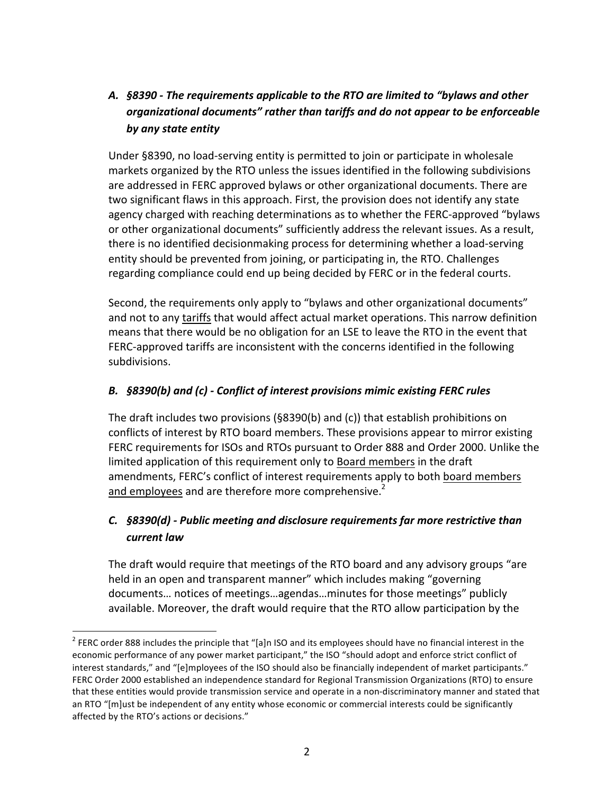# A. **§8390** - The requirements applicable to the RTO are limited to "bylaws and other organizational documents" rather than tariffs and do not appear to be enforceable *by any state entity*

Under §8390, no load-serving entity is permitted to join or participate in wholesale markets organized by the RTO unless the issues identified in the following subdivisions are addressed in FERC approved bylaws or other organizational documents. There are two significant flaws in this approach. First, the provision does not identify any state agency charged with reaching determinations as to whether the FERC-approved "bylaws or other organizational documents" sufficiently address the relevant issues. As a result, there is no identified decisionmaking process for determining whether a load-serving entity should be prevented from joining, or participating in, the RTO. Challenges regarding compliance could end up being decided by FERC or in the federal courts.

Second, the requirements only apply to "bylaws and other organizational documents" and not to any tariffs that would affect actual market operations. This narrow definition means that there would be no obligation for an LSE to leave the RTO in the event that FERC-approved tariffs are inconsistent with the concerns identified in the following subdivisions.

#### B. §8390(b) and (c) - Conflict of interest provisions mimic existing FERC rules

The draft includes two provisions  $(S8390(b)$  and (c)) that establish prohibitions on conflicts of interest by RTO board members. These provisions appear to mirror existing FERC requirements for ISOs and RTOs pursuant to Order 888 and Order 2000. Unlike the limited application of this requirement only to Board members in the draft amendments, FERC's conflict of interest requirements apply to both board members and employees and are therefore more comprehensive.<sup>2</sup>

### **C. §8390(d)** - Public meeting and disclosure requirements far more restrictive than *current law*

The draft would require that meetings of the RTO board and any advisory groups "are held in an open and transparent manner" which includes making "governing documents... notices of meetings...agendas...minutes for those meetings" publicly available. Moreover, the draft would require that the RTO allow participation by the

 $2$  FERC order 888 includes the principle that "[a]n ISO and its employees should have no financial interest in the economic performance of any power market participant," the ISO "should adopt and enforce strict conflict of interest standards," and "[e]mployees of the ISO should also be financially independent of market participants." FERC Order 2000 established an independence standard for Regional Transmission Organizations (RTO) to ensure that these entities would provide transmission service and operate in a non-discriminatory manner and stated that an RTO "[m]ust be independent of any entity whose economic or commercial interests could be significantly affected by the RTO's actions or decisions."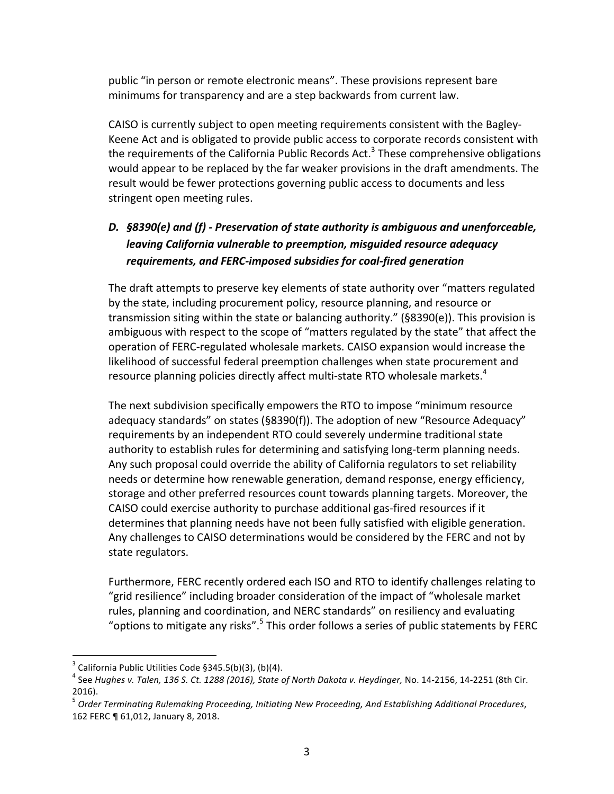public "in person or remote electronic means". These provisions represent bare minimums for transparency and are a step backwards from current law.

CAISO is currently subject to open meeting requirements consistent with the Bagley-Keene Act and is obligated to provide public access to corporate records consistent with the requirements of the California Public Records Act.<sup>3</sup> These comprehensive obligations would appear to be replaced by the far weaker provisions in the draft amendments. The result would be fewer protections governing public access to documents and less stringent open meeting rules.

# D. §8390(e) and (f) - Preservation of state authority is ambiguous and unenforceable, *leaving California vulnerable to preemption, misquided resource adequacy* requirements, and FERC-imposed subsidies for coal-fired generation

The draft attempts to preserve key elements of state authority over "matters regulated by the state, including procurement policy, resource planning, and resource or transmission siting within the state or balancing authority."  $(§8390(e))$ . This provision is ambiguous with respect to the scope of "matters regulated by the state" that affect the operation of FERC-regulated wholesale markets. CAISO expansion would increase the likelihood of successful federal preemption challenges when state procurement and resource planning policies directly affect multi-state RTO wholesale markets.<sup>4</sup>

The next subdivision specifically empowers the RTO to impose "minimum resource" adequacy standards" on states  $(S8390(f))$ . The adoption of new "Resource Adequacy" requirements by an independent RTO could severely undermine traditional state authority to establish rules for determining and satisfying long-term planning needs. Any such proposal could override the ability of California regulators to set reliability needs or determine how renewable generation, demand response, energy efficiency, storage and other preferred resources count towards planning targets. Moreover, the CAISO could exercise authority to purchase additional gas-fired resources if it determines that planning needs have not been fully satisfied with eligible generation. Any challenges to CAISO determinations would be considered by the FERC and not by state regulators.

Furthermore, FERC recently ordered each ISO and RTO to identify challenges relating to "grid resilience" including broader consideration of the impact of "wholesale market" rules, planning and coordination, and NERC standards" on resiliency and evaluating "options to mitigate any risks".  $5$  This order follows a series of public statements by FERC

 $3$  California Public Utilities Code §345.5(b)(3), (b)(4).

 $^4$  See Hughes v. Talen, 136 S. Ct. 1288 (2016), State of North Dakota v. Heydinger, No. 14-2156, 14-2251 (8th Cir. 2016).

<sup>&</sup>lt;sup>5</sup> Order Terminating Rulemaking Proceeding, Initiating New Proceeding, And Establishing Additional Procedures, 162 FERC ¶ 61,012, January 8, 2018.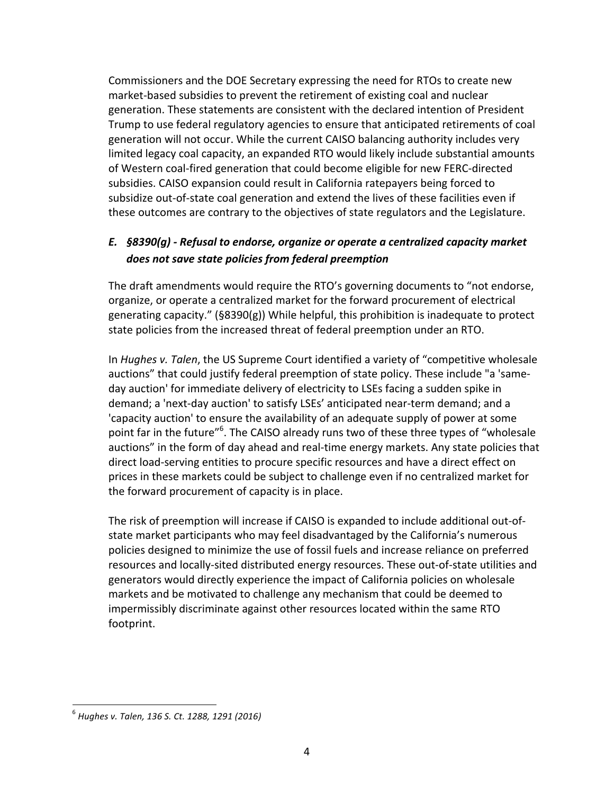Commissioners and the DOE Secretary expressing the need for RTOs to create new market-based subsidies to prevent the retirement of existing coal and nuclear generation. These statements are consistent with the declared intention of President Trump to use federal regulatory agencies to ensure that anticipated retirements of coal generation will not occur. While the current CAISO balancing authority includes very limited legacy coal capacity, an expanded RTO would likely include substantial amounts of Western coal-fired generation that could become eligible for new FERC-directed subsidies. CAISO expansion could result in California ratepayers being forced to subsidize out-of-state coal generation and extend the lives of these facilities even if these outcomes are contrary to the objectives of state regulators and the Legislature.

### E. §8390(g) - Refusal to endorse, organize or operate a centralized capacity market does not save state policies from federal preemption

The draft amendments would require the RTO's governing documents to "not endorse, organize, or operate a centralized market for the forward procurement of electrical generating capacity."  $(§8390(g))$  While helpful, this prohibition is inadequate to protect state policies from the increased threat of federal preemption under an RTO.

In *Hughes v. Talen*, the US Supreme Court identified a variety of "competitive wholesale auctions" that could justify federal preemption of state policy. These include "a 'sameday auction' for immediate delivery of electricity to LSEs facing a sudden spike in demand; a 'next-day auction' to satisfy LSEs' anticipated near-term demand; and a 'capacity auction' to ensure the availability of an adequate supply of power at some point far in the future"<sup>6</sup>. The CAISO already runs two of these three types of "wholesale auctions" in the form of day ahead and real-time energy markets. Any state policies that direct load-serving entities to procure specific resources and have a direct effect on prices in these markets could be subject to challenge even if no centralized market for the forward procurement of capacity is in place.

The risk of preemption will increase if CAISO is expanded to include additional out-ofstate market participants who may feel disadvantaged by the California's numerous policies designed to minimize the use of fossil fuels and increase reliance on preferred resources and locally-sited distributed energy resources. These out-of-state utilities and generators would directly experience the impact of California policies on wholesale markets and be motivated to challenge any mechanism that could be deemed to impermissibly discriminate against other resources located within the same RTO footprint.

<sup>6</sup> *Hughes v. Talen, 136 S. Ct. 1288, 1291 (2016)*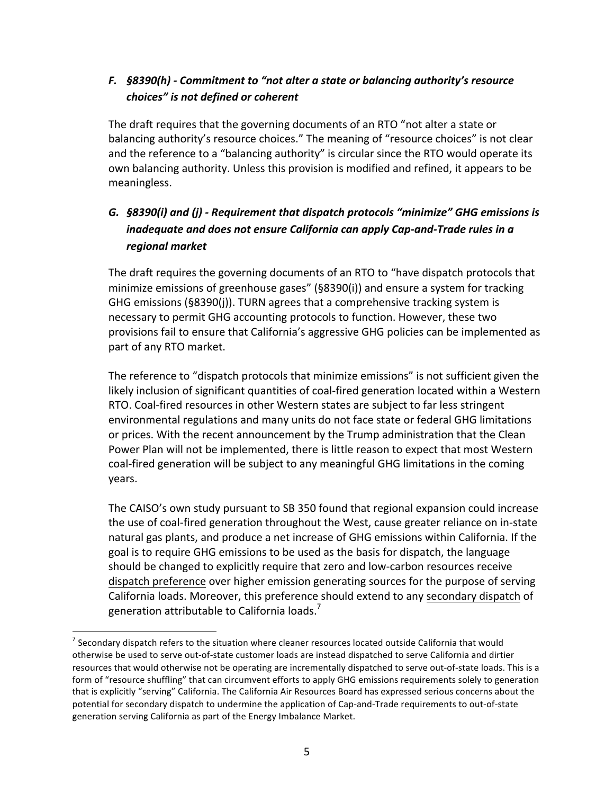## *F.* §8390(h) - Commitment to "not alter a state or balancing authority's resource *choices" is not defined or coherent*

The draft requires that the governing documents of an RTO "not alter a state or balancing authority's resource choices." The meaning of "resource choices" is not clear and the reference to a "balancing authority" is circular since the RTO would operate its own balancing authority. Unless this provision is modified and refined, it appears to be meaningless.

# G. **§8390(i)** and (i) - Requirement that dispatch protocols "minimize" GHG emissions is *inadequate and does not ensure California can apply Cap-and-Trade rules in a regional market*

The draft requires the governing documents of an RTO to "have dispatch protocols that minimize emissions of greenhouse gases" ( $§8390(i)$ ) and ensure a system for tracking GHG emissions  $(S8390(j))$ . TURN agrees that a comprehensive tracking system is necessary to permit GHG accounting protocols to function. However, these two provisions fail to ensure that California's aggressive GHG policies can be implemented as part of any RTO market.

The reference to "dispatch protocols that minimize emissions" is not sufficient given the likely inclusion of significant quantities of coal-fired generation located within a Western RTO. Coal-fired resources in other Western states are subject to far less stringent environmental regulations and many units do not face state or federal GHG limitations or prices. With the recent announcement by the Trump administration that the Clean Power Plan will not be implemented, there is little reason to expect that most Western coal-fired generation will be subject to any meaningful GHG limitations in the coming years.

The CAISO's own study pursuant to SB 350 found that regional expansion could increase the use of coal-fired generation throughout the West, cause greater reliance on in-state natural gas plants, and produce a net increase of GHG emissions within California. If the goal is to require GHG emissions to be used as the basis for dispatch, the language should be changed to explicitly require that zero and low-carbon resources receive dispatch preference over higher emission generating sources for the purpose of serving California loads. Moreover, this preference should extend to any secondary dispatch of generation attributable to California loads.<sup>7</sup>

 $<sup>7</sup>$  Secondary dispatch refers to the situation where cleaner resources located outside California that would</sup> otherwise be used to serve out-of-state customer loads are instead dispatched to serve California and dirtier resources that would otherwise not be operating are incrementally dispatched to serve out-of-state loads. This is a form of "resource shuffling" that can circumvent efforts to apply GHG emissions requirements solely to generation that is explicitly "serving" California. The California Air Resources Board has expressed serious concerns about the potential for secondary dispatch to undermine the application of Cap-and-Trade requirements to out-of-state generation serving California as part of the Energy Imbalance Market.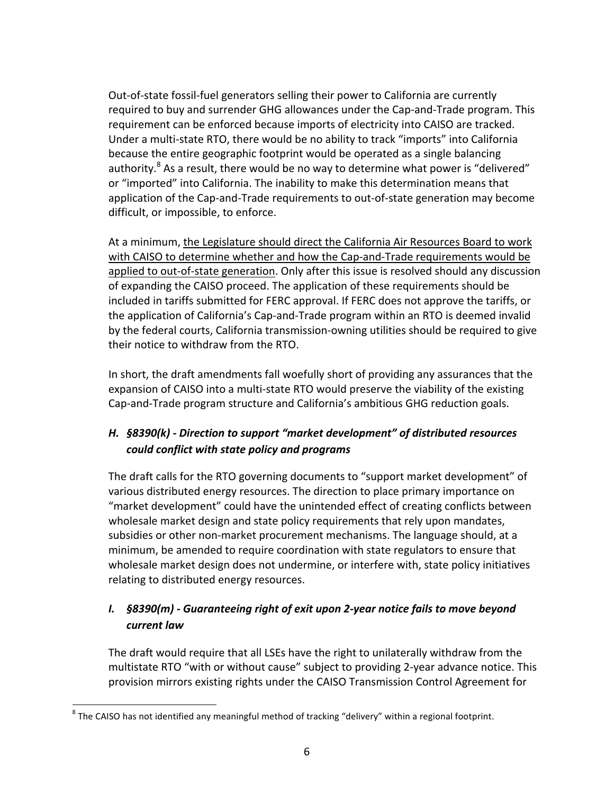Out-of-state fossil-fuel generators selling their power to California are currently required to buy and surrender GHG allowances under the Cap-and-Trade program. This requirement can be enforced because imports of electricity into CAISO are tracked. Under a multi-state RTO, there would be no ability to track "imports" into California because the entire geographic footprint would be operated as a single balancing authority.<sup>8</sup> As a result, there would be no way to determine what power is "delivered" or "imported" into California. The inability to make this determination means that application of the Cap-and-Trade requirements to out-of-state generation may become difficult, or impossible, to enforce.

At a minimum, the Legislature should direct the California Air Resources Board to work with CAISO to determine whether and how the Cap-and-Trade requirements would be applied to out-of-state generation. Only after this issue is resolved should any discussion of expanding the CAISO proceed. The application of these requirements should be included in tariffs submitted for FERC approval. If FERC does not approve the tariffs, or the application of California's Cap-and-Trade program within an RTO is deemed invalid by the federal courts, California transmission-owning utilities should be required to give their notice to withdraw from the RTO.

In short, the draft amendments fall woefully short of providing any assurances that the expansion of CAISO into a multi-state RTO would preserve the viability of the existing Cap-and-Trade program structure and California's ambitious GHG reduction goals.

## **H. §8390(k)** - Direction to support "market development" of distributed resources *could conflict with state policy and programs*

The draft calls for the RTO governing documents to "support market development" of various distributed energy resources. The direction to place primary importance on "market development" could have the unintended effect of creating conflicts between wholesale market design and state policy requirements that rely upon mandates, subsidies or other non-market procurement mechanisms. The language should, at a minimum, be amended to require coordination with state regulators to ensure that wholesale market design does not undermine, or interfere with, state policy initiatives relating to distributed energy resources.

## *I.* **§8390(m)** - Guaranteeing right of exit upon 2-year notice fails to move beyond *current law*

The draft would require that all LSEs have the right to unilaterally withdraw from the multistate RTO "with or without cause" subject to providing 2-year advance notice. This provision mirrors existing rights under the CAISO Transmission Control Agreement for

 $8$  The CAISO has not identified any meaningful method of tracking "delivery" within a regional footprint.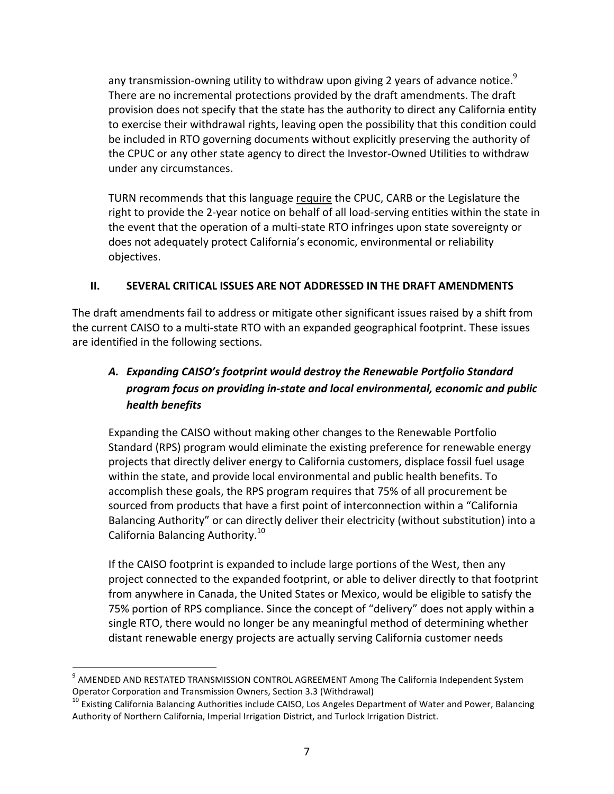any transmission-owning utility to withdraw upon giving 2 years of advance notice.<sup>9</sup> There are no incremental protections provided by the draft amendments. The draft provision does not specify that the state has the authority to direct any California entity to exercise their withdrawal rights, leaving open the possibility that this condition could be included in RTO governing documents without explicitly preserving the authority of the CPUC or any other state agency to direct the Investor-Owned Utilities to withdraw under any circumstances.

TURN recommends that this language require the CPUC, CARB or the Legislature the right to provide the 2-year notice on behalf of all load-serving entities within the state in the event that the operation of a multi-state RTO infringes upon state sovereignty or does not adequately protect California's economic, environmental or reliability objectives.

#### **II. SEVERAL CRITICAL ISSUES ARE NOT ADDRESSED IN THE DRAFT AMENDMENTS**

The draft amendments fail to address or mitigate other significant issues raised by a shift from the current CAISO to a multi-state RTO with an expanded geographical footprint. These issues are identified in the following sections.

# A. Expanding CAISO's footprint would destroy the Renewable Portfolio Standard program focus on providing in-state and local environmental, economic and public *health benefits*

Expanding the CAISO without making other changes to the Renewable Portfolio Standard (RPS) program would eliminate the existing preference for renewable energy projects that directly deliver energy to California customers, displace fossil fuel usage within the state, and provide local environmental and public health benefits. To accomplish these goals, the RPS program requires that 75% of all procurement be sourced from products that have a first point of interconnection within a "California Balancing Authority" or can directly deliver their electricity (without substitution) into a California Balancing Authority.<sup>10</sup>

If the CAISO footprint is expanded to include large portions of the West, then any project connected to the expanded footprint, or able to deliver directly to that footprint from anywhere in Canada, the United States or Mexico, would be eligible to satisfy the 75% portion of RPS compliance. Since the concept of "delivery" does not apply within a single RTO, there would no longer be any meaningful method of determining whether distant renewable energy projects are actually serving California customer needs

 $9$  AMENDED AND RESTATED TRANSMISSION CONTROL AGREEMENT Among The California Independent System Operator Corporation and Transmission Owners, Section 3.3 (Withdrawal)

<sup>&</sup>lt;sup>10</sup> Existing California Balancing Authorities include CAISO, Los Angeles Department of Water and Power, Balancing Authority of Northern California, Imperial Irrigation District, and Turlock Irrigation District.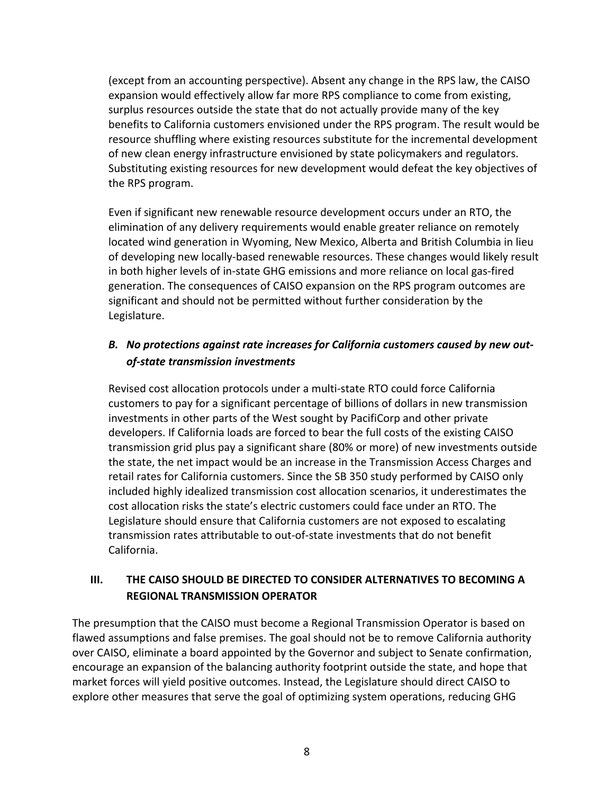(except from an accounting perspective). Absent any change in the RPS law, the CAISO expansion would effectively allow far more RPS compliance to come from existing, surplus resources outside the state that do not actually provide many of the key benefits to California customers envisioned under the RPS program. The result would be resource shuffling where existing resources substitute for the incremental development of new clean energy infrastructure envisioned by state policymakers and regulators. Substituting existing resources for new development would defeat the key objectives of the RPS program.

Even if significant new renewable resource development occurs under an RTO, the elimination of any delivery requirements would enable greater reliance on remotely located wind generation in Wyoming, New Mexico, Alberta and British Columbia in lieu of developing new locally-based renewable resources. These changes would likely result in both higher levels of in-state GHG emissions and more reliance on local gas-fired generation. The consequences of CAISO expansion on the RPS program outcomes are significant and should not be permitted without further consideration by the Legislature.

### B. No protections against rate increases for California customers caused by new out*of-state transmission investments*

Revised cost allocation protocols under a multi-state RTO could force California customers to pay for a significant percentage of billions of dollars in new transmission investments in other parts of the West sought by PacifiCorp and other private developers. If California loads are forced to bear the full costs of the existing CAISO transmission grid plus pay a significant share (80% or more) of new investments outside the state, the net impact would be an increase in the Transmission Access Charges and retail rates for California customers. Since the SB 350 study performed by CAISO only included highly idealized transmission cost allocation scenarios, it underestimates the cost allocation risks the state's electric customers could face under an RTO. The Legislature should ensure that California customers are not exposed to escalating transmission rates attributable to out-of-state investments that do not benefit California.

### **III. THE CAISO SHOULD BE DIRECTED TO CONSIDER ALTERNATIVES TO BECOMING A REGIONAL TRANSMISSION OPERATOR**

The presumption that the CAISO must become a Regional Transmission Operator is based on flawed assumptions and false premises. The goal should not be to remove California authority over CAISO, eliminate a board appointed by the Governor and subject to Senate confirmation, encourage an expansion of the balancing authority footprint outside the state, and hope that market forces will yield positive outcomes. Instead, the Legislature should direct CAISO to explore other measures that serve the goal of optimizing system operations, reducing GHG